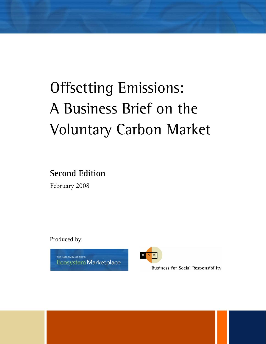# Offsetting Emissions: A Business Brief on the Voluntary Carbon Market

**Second Edition** 

February 2008

Produced by:

THE KATOOMBA GROUP'S Ecosystem Marketplace



**Business for Social Responsibility**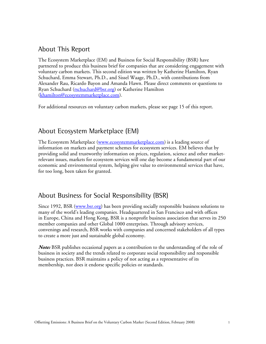### About This Report

The Ecosystem Marketplace (EM) and Business for Social Responsibility (BSR) have partnered to produce this business brief for companies that are considering engagement with voluntary carbon markets. This second edition was written by Katherine Hamilton, Ryan Schuchard, Emma Stewart, Ph.D., and Sissel Waage, Ph.D., with contributions from Alexander Rau, Ricardo Bayon and Amanda Hawn. Please direct comments or questions to Ryan Schuchard (rschuchard@bsr.org) or Katherine Hamilton (khamilton@ecosystemmarketplace.com).

For additional resources on voluntary carbon markets, please see page 15 of this report.

### About Ecosystem Marketplace (EM)

The Ecosystem Marketplace (www.ecosystemmarketplace.com) is a leading source of information on markets and payment schemes for ecosystem services. EM believes that by providing solid and trustworthy information on prices, regulation, science and other marketrelevant issues, markets for ecosystem services will one day become a fundamental part of our economic and environmental system, helping give value to environmental services that have, for too long, been taken for granted.

### About Business for Social Responsibility (BSR)

Since 1992, BSR (www.bsr.org) has been providing socially responsible business solutions to many of the world's leading companies. Headquartered in San Francisco and with offices in Europe, China and Hong Kong, BSR is a nonprofit business association that serves its 250 member companies and other Global 1000 enterprises. Through advisory services, convenings and research, BSR works with companies and concerned stakeholders of all types to create a more just and sustainable global economy.

**Note:** BSR publishes occasional papers as a contribution to the understanding of the role of business in society and the trends related to corporate social responsibility and responsible business practices. BSR maintains a policy of not acting as a representative of its membership, nor does it endorse specific policies or standards.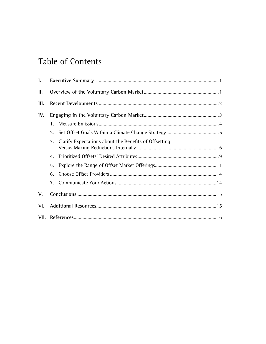# **Table of Contents**

| 1.             |             |                                                       |  |  |  |
|----------------|-------------|-------------------------------------------------------|--|--|--|
| $\mathbf{u}$ . |             |                                                       |  |  |  |
| 111.           |             |                                                       |  |  |  |
| IV.            |             |                                                       |  |  |  |
|                | $1_{\cdot}$ |                                                       |  |  |  |
|                | 2.          |                                                       |  |  |  |
|                | 3.          | Clarify Expectations about the Benefits of Offsetting |  |  |  |
|                | 4.          |                                                       |  |  |  |
|                | 5.          |                                                       |  |  |  |
|                | 6.          |                                                       |  |  |  |
|                | 7.          |                                                       |  |  |  |
| V.             |             |                                                       |  |  |  |
| VI.            |             |                                                       |  |  |  |
|                |             |                                                       |  |  |  |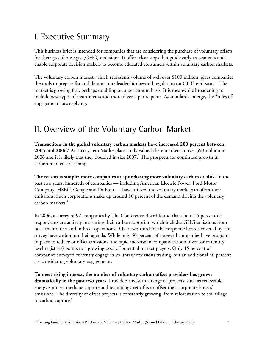# I. Executive Summary

This business brief is intended for companies that are considering the purchase of voluntary offsets for their greenhouse gas (GHG) emissions. It offers clear steps that guide early assessments and enable corporate decision makers to become educated consumers within voluntary carbon markets.

The voluntary carbon market, which represents volume of well over \$100 million, gives companies the tools to prepare for and demonstrate leadership beyond regulation on GHG emissions.<sup>1</sup> The market is growing fast, perhaps doubling on a per annum basis. It is meanwhile broadening to include new types of instruments and more diverse participants. As standards emerge, the "rules of engagement" are evolving.

# II. Overview of the Voluntary Carbon Market

**Transactions in the global voluntary carbon markets have increased 200 percent between 2005 and 2006.**<sup>2</sup> An Ecosystem Marketplace study valued these markets at over \$93 million in 2006 and it is likely that they doubled in size 2007. $^3$  The prospects for continued growth in carbon markets are strong.

**The reason is simple: more companies are purchasing more voluntary carbon credits.** In the past two years, hundreds of companies — including American Electric Power, Ford Motor Company, HSBC, Google and DuPont — have utilized the voluntary markets to offset their emissions. Such corporations make up around 80 percent of the demand driving the voluntary carbon markets. $4$ 

In 2006, a survey of 92 companies by The Conference Board found that about 75 percent of respondents are actively measuring their carbon footprint, which includes GHG emissions from both their direct and indirect operations.<sup>5</sup> Over two-thirds of the corporate boards covered by the survey have carbon on their agenda. While only 50 percent of surveyed companies have programs in place to reduce or offset emissions, the rapid increase in company carbon inventories (entity level registries) points to a growing pool of potential market players. Only 15 percent of companies surveyed currently engage in voluntary emissions trading, but an additional 40 percent are considering voluntary engagement.

**To meet rising interest, the number of voluntary carbon offset providers has grown dramatically in the past two years.** Providers invest in a range of projects, such as renewable energy sources, methane capture and technology retrofits to offset their corporate buyers' emissions. The diversity of offset projects is constantly growing, from reforestation to soil tillage to carbon capture.<sup>6</sup>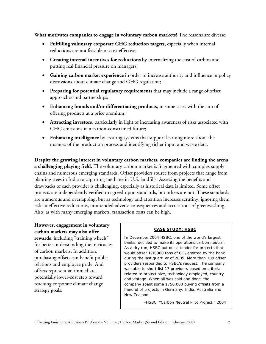**What motivates companies to engage in voluntary carbon markets?** The reasons are diverse:

- **Fulfilling voluntary corporate GHG reduction targets,** especially when internal reductions are not feasible or cost-effective;
- **Creating internal incentives for reductions** by internalizing the cost of carbon and putting real financial pressure on managers;
- **Gaining carbon market experience** in order to increase authority and influence in policy discussions about climate change and GHG regulation;
- **Preparing for potential regulatory requirements** that may include a range of offset approaches and partnerships;
- **Enhancing brands and/or differentiating products**, in some cases with the aim of offering products at a price premium;
- **Attracting investors**, particularly in light of increasing awareness of risks associated with GHG emissions in a carbon-constrained future;
- **Enhancing intelligence** by creating systems that support learning more about the nuances of the production process and identifying richer input and waste data.

**Despite the growing interest in voluntary carbon markets, companies are finding the arena a challenging playing field.** The voluntary carbon market is fragmented with complex supply chains and numerous emerging standards. Offset providers source from projects that range from planting trees in India to capturing methane in U.S. landfills. Assessing the benefits and drawbacks of each provider is challenging, especially as historical data is limited. Some offset projects are independently verified to agreed-upon standards, but others are not. These standards are numerous and overlapping, but as technology and attention increases scrutiny, ignoring them risks ineffective reductions, unintended adverse consequences and accusations of greenwashing. Also, as with many emerging markets, transaction costs can be high.

### **However, engagement in voluntary carbon markets may also offer**

**rewards,** including "training wheels" for better understanding the intricacies of carbon markets. In addition, purchasing offsets can benefit public relations and employee pride. And offsets represent an immediate, potentially lower-cost step toward reaching corporate climate change strategy goals.

#### **CASE STUDY: HSBC**

In December 2004 HSBC, one of the world's largest banks, decided to make its operations carbon neutral. As a dry run, HSBC put out a tender for projects that would offset 170,000 tons of  $CO<sub>2</sub>$  emitted by the bank during the last quart er of 2005. More than 100 offset providers responded to HSBC's request. The company was able to short-list 17 providers based on criteria related to project size, technology employed, country and vintage. When all was said and done, the company spent some \$750,000 buying offsets from a handful of projects in Germany, India, Australia and New Zealand.

*-HSBC, "Carbon Neutral Pilot Project," 2004*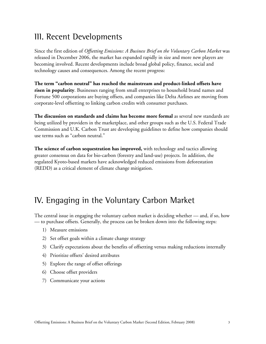## III. Recent Developments

Since the first edition of *Offsetting Emissions: A Business Brief on the Voluntary Carbon Market* was released in December 2006, the market has expanded rapidly in size and more new players are becoming involved. Recent developments include broad global policy, finance, social and technology causes and consequences. Among the recent progress:

**The term "carbon neutral" has reached the mainstream and product-linked offsets have risen in popularity**. Businesses ranging from small enterprises to household brand names and Fortune 500 corporations are buying offsets, and companies like Delta Airlines are moving from corporate-level offsetting to linking carbon credits with consumer purchases.

**The discussion on standards and claims has become more formal** as several new standards are being utilized by providers in the marketplace, and other groups such as the U.S. Federal Trade Commission and U.K. Carbon Trust are developing guidelines to define how companies should use terms such as "carbon neutral."

**The science of carbon sequestration has improved,** with technology and tactics allowing greater consensus on data for bio-carbon (forestry and land-use) projects. In addition, the regulated Kyoto-based markets have acknowledged reduced emissions from deforestation (REDD) as a critical element of climate change mitigation.

# IV. Engaging in the Voluntary Carbon Market

The central issue in engaging the voluntary carbon market is deciding whether — and, if so, how — to purchase offsets. Generally, the process can be broken down into the following steps:

- 1) Measure emissions
- 2) Set offset goals within a climate change strategy
- 3) Clarify expectations about the benefits of offsetting versus making reductions internally
- 4) Prioritize offsets' desired attributes
- 5) Explore the range of offset offerings
- 6) Choose offset providers
- 7) Communicate your actions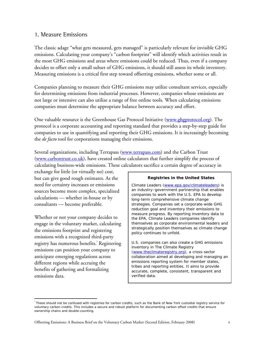### 1. Measure Emissions

The classic adage "what gets measured, gets managed" is particularly relevant for invisible GHG emissions. Calculating your company's "carbon footprint" will identify which activities result in the most GHG emissions and areas where emissions could be reduced. Thus, even if a company decides to offset only a small subset of GHG emissions, it should still assess its whole inventory. Measuring emissions is a critical first step toward offsetting emissions, whether some or all.

Companies planning to measure their GHG emissions may utilize consultant services, especially for determining emissions from industrial processes. However, companies whose emissions are not large or intensive can also utilize a range of free online tools. When calculating emissions companies must determine the appropriate balance between accuracy and effort.

One valuable resource is the Greenhouse Gas Protocol Initiative (www.ghgprotocol.org). The protocol is a corporate accounting and reporting standard that provides a step-by-step guide for companies to use in quantifying and reporting their GHG emissions. It is increasingly becoming the *de facto* tool for corporations managing their emissions.

Several organizations, including Terrapass (www.terrapass.com) and the Carbon Trust (www.carbontrust.co.uk), have created online calculators that further simplify the process of calculating business-wide emissions. These calculators sacrifice a certain degree of accuracy in

exchange for little (or virtually no) cost, but can give good rough estimates. As the need for certainty increases or emissions sources become more complex, specialized calculations — whether in-house or by consultants — become preferable.

Whether or not your company decides to engage in the voluntary market, calculating the emissions footprint and registering emissions with a recognized third-party registry has numerous benefits.<sup>i</sup> Registering emissions can position your company to anticipate emerging regulations across different regions while accruing the benefits of gathering and formalizing emissions data.

 $\overline{a}$ 

#### **Registries in the United States**

Climate Leaders (www.epa.gov/climateleaders) is an industry–government partnership that enables companies to work with the U.S. EPA to develop long-term comprehensive climate change strategies. Companies set a corporate-wide GHG reduction goal and inventory their emissions to measure progress. By reporting inventory data to the EPA, Climate Leaders companies identify themselves as corporate environmental leaders and strategically position themselves as climate change policy continues to unfold.

U.S. companies can also create a GHG emissions inventory in The Climate Registry (www.theclimateregistry.org), a cross-sector collaboration aimed at developing and managing an emissions reporting system for member states, tribes and reporting entities. It aims to provide accurate, complete, consistent, transparent and verified data.

i These should not be confused with registries for carbon credits, such as the Bank of New York custodial registry service for voluntary carbon credits. This includes a secure and robust platform for documenting carbon offset credits that ensure ownership chains and double-counting.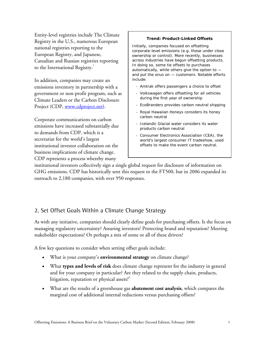Entity-level registries include The Climate Registry in the U.S., numerous European national registries reporting to the European Registry, and Japanese, Canadian and Russian registries reporting to the International Registry. $^7$ 

In addition, companies may create an emissions inventory in partnership with a government or non-profit program, such as Climate Leaders or the Carbon Disclosure Project (CDP, www.cdproject.net).

Corporate communications on carbon emissions have increased substantially due to demands from CDP, which is a secretariat for the world's largest institutional investor collaboration on the business implications of climate change. CDP represents a process whereby many

#### **Trend: Product-Linked Offsets**

Initially, companies focused on offsetting corporate-level emissions (e.g. those under close ownership or control). More recently, businesses across industries have begun offsetting products. In doing so, some tie offsets to purchases automatically, while others give the option to and put the onus on — customers. Notable efforts include:

- Amtrak offers passengers a choice to offset
- Volkswagen offers offsetting for all vehicles during the first year of ownership
- EcoBranders provides carbon neutral shipping
- Royal Hawaiian Honeys considers its honey carbon neutral
- Icelandic Glacial water considers its water products carbon neutral
- Consumer Electronics Association (CEA), the world's largest consumer IT tradeshow, used offsets to make the event carbon neutral.

institutional investors collectively sign a single global request for disclosure of information on GHG emissions. CDP has historically sent this request to the FT500, but in 2006 expanded its outreach to 2,180 companies, with over 950 responses.

### 2. Set Offset Goals Within a Climate Change Strategy

As with any initiative, companies should clearly define goals for purchasing offsets. Is the focus on managing regulatory uncertainty? Assuring investors? Protecting brand and reputation? Meeting stakeholder expectations? Or perhaps a mix of some or all of these drivers?

A few key questions to consider when setting offset goals include:

- What is your company's **environmental strategy** on climate change?
- What **types and levels of risk** does climate change represent for the industry in general and for your company in particular? Are they related to the supply chain, products, litigation, reputation or physical assets? $^8$
- What are the results of a greenhouse gas **abatement cost analysis**, which compares the marginal cost of additional internal reductions versus purchasing offsets?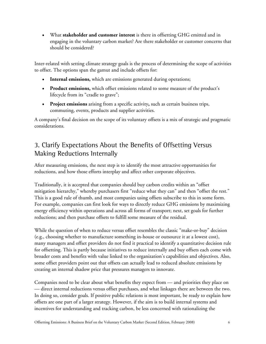• What **stakeholder and customer interest** is there in offsetting GHG emitted and in engaging in the voluntary carbon market? Are there stakeholder or customer concerns that should be considered?

Inter-related with setting climate strategy goals is the process of determining the scope of activities to offset. The options span the gamut and include offsets for:

- **Internal emissions,** which are emissions generated during operations;
- **Product emissions,** which offset emissions related to some measure of the product's lifecycle from its "cradle to grave";
- **Project emissions** arising from a specific activity**,** such as certain business trips, commuting, events, products and supplier activities.

A company's final decision on the scope of its voluntary offsets is a mix of strategic and pragmatic considerations.

### 3. Clarify Expectations About the Benefits of Offsetting Versus Making Reductions Internally

After measuring emissions, the next step is to identify the most attractive opportunities for reductions, and how those efforts interplay and affect other corporate objectives.

Traditionally, it is accepted that companies should buy carbon credits within an "offset mitigation hierarchy," whereby purchasers first "reduce what they can" and then "offset the rest." This is a good rule of thumb, and most companies using offsets subscribe to this in some form. For example, companies can first look for ways to directly reduce GHG emissions by maximizing energy efficiency within operations and across all forms of transport; next, set goals for further reductions; and then purchase offsets to fulfill some measure of the residual.

While the question of when to reduce versus offset resembles the classic "make-or-buy" decision (e.g., choosing whether to manufacture something in-house or outsource it at a lowest cost), many managers and offset providers do not find it practical to identify a quantitative decision rule for offsetting. This is partly because initiatives to reduce internally and buy offsets each come with broader costs and benefits with value linked to the organization's capabilities and objectives. Also, some offset providers point out that offsets can actually lead to reduced absolute emissions by creating an internal shadow price that pressures managers to innovate.

Companies need to be clear about what benefits they expect from — and priorities they place on — direct internal reductions versus offset purchases, and what linkages there are between the two. In doing so, consider goals. If positive public relations is most important, be ready to explain how offsets are one part of a larger strategy. However, if the aim is to build internal systems and incentives for understanding and tracking carbon, be less concerned with rationalizing the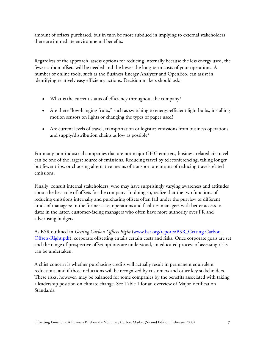amount of offsets purchased, but in turn be more subdued in implying to external stakeholders there are immediate environmental benefits.

Regardless of the approach, assess options for reducing internally because the less energy used, the fewer carbon offsets will be needed and the lower the long-term costs of your operations. A number of online tools, such as the Business Energy Analyzer and OpenEco, can assist in identifying relatively easy efficiency actions. Decision makers should ask:

- What is the current status of efficiency throughout the company?
- Are there "low-hanging fruits," such as switching to energy-efficient light bulbs, installing motion sensors on lights or changing the types of paper used?
- Are current levels of travel, transportation or logistics emissions from business operations and supply/distribution chains as low as possible?

For many non-industrial companies that are not major GHG emitters, business-related air travel can be one of the largest source of emissions. Reducing travel by teleconferencing, taking longer but fewer trips, or choosing alternative means of transport are means of reducing travel-related emissions.

Finally, consult internal stakeholders, who may have surprisingly varying awareness and attitudes about the best role of offsets for the company. In doing so, realize that the two functions of reducing emissions internally and purchasing offsets often fall under the purview of different kinds of managers: in the former case, operations and facilities managers with better access to data; in the latter, customer-facing managers who often have more authority over PR and advertising budgets.

As BSR outlined in *Getting Carbon Offsets Right* (www.bsr.org/reports/BSR\_Getting-Carbon-Offsets-Right.pdf), corporate offsetting entails certain costs and risks. Once corporate goals are set and the range of prospective offset options are understood, an educated process of assessing risks can be undertaken.

A chief concern is whether purchasing credits will actually result in permanent equivalent reductions, and if those reductions will be recognized by customers and other key stakeholders. These risks, however, may be balanced for some companies by the benefits associated with taking a leadership position on climate change. See Table 1 for an overview of Major Verification Standards.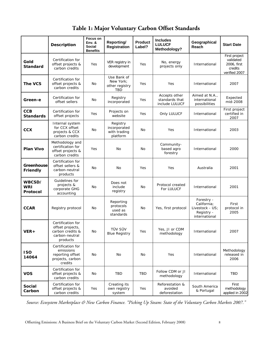**Table 1: Major Voluntary Carbon Offset Standards** 

|                                  | <b>Description</b>                                                                      | Focus on<br>Env. &<br><b>Social</b><br><b>Benefits</b> | Reporting/<br><b>Registration</b>                    | <b>Product</b><br>Label? | <b>Includes</b><br><b>LULUCF</b><br>Methodology?  | Geographical<br>Reach                                                       | <b>Start Date</b>                                                     |
|----------------------------------|-----------------------------------------------------------------------------------------|--------------------------------------------------------|------------------------------------------------------|--------------------------|---------------------------------------------------|-----------------------------------------------------------------------------|-----------------------------------------------------------------------|
| Gold<br><b>Standard</b>          | Certification for<br>offset projects &<br>carbon credits                                | Yes                                                    | VER registry in<br>development                       | Yes                      | No, energy<br>projects only                       | International                                                               | First project<br>validated<br>2006, first<br>credits<br>verified 2007 |
| The VCS                          | Certification for<br>offset projects &<br>carbon credits                                | No                                                     | Use Bank of<br>New York:<br>other registry<br>TBD    | Yes                      | Yes                                               | International                                                               | 2007                                                                  |
| Green-e                          | Certification for<br>offset sellers                                                     | No                                                     | Registry<br>incorporated                             | Yes                      | Accepts other<br>standards that<br>include LULUCF | Aimed at N.A.,<br>international<br>possibilities                            | Expected<br>mid-2008                                                  |
| <b>CCB</b><br><b>Standards</b>   | Certification for<br>offset projects                                                    | Yes                                                    | Projects on<br>website                               | Yes                      | Only LULUCF                                       | International                                                               | First project<br>certified in<br>2007                                 |
| <b>CCX</b>                       | Internal system<br>for CCX offset<br>projects & CCX<br>carbon credits                   | No                                                     | Registry<br>incorporated<br>with trading<br>platform | No                       | Yes                                               | International                                                               | 2003                                                                  |
| <b>Plan Vivo</b>                 | Methodology and<br>certification for<br>offset projects &<br>carbon credits             | Yes                                                    | No                                                   | No                       | Community-<br>based agro<br>forestry              | International                                                               | 2000                                                                  |
| Greenhouse<br>Friendly           | Certification for<br>offset sellers &<br>carbon-neutral<br>products                     | No                                                     | No                                                   | Yes                      | Yes                                               | Australia                                                                   | 2001                                                                  |
| WBCSD/<br><b>WRI</b><br>Protocol | Guidelines for<br>projects &<br>corporate GHG<br>accounting                             | No                                                     | Does not<br>include<br>registry                      | No                       | Protocol created<br>For LULUCF                    | International                                                               | 2001                                                                  |
| <b>CCAR</b>                      | Registry protocol                                                                       | No                                                     | Reporting<br>protocols<br>used as<br>standards       | No                       | Yes, first protocol                               | Forestry -<br>California;<br>Livestock - US;<br>Registry -<br>international | First<br>protocol in<br>2005                                          |
| VER+                             | Certification for<br>offset projects,<br>carbon credits &<br>carbon-neutral<br>products | No                                                     | TÜV SÜV<br><b>Blue Registry</b>                      | Yes                      | Yes, JI or CDM<br>methodology                     | International                                                               | 2007                                                                  |
| <b>ISO</b><br>14064              | Certification for<br>emissions<br>reporting offset<br>projects, carbon<br>credits       | No                                                     | No                                                   | No                       | Yes                                               | International                                                               | Methodology<br>released in<br>2006                                    |
| <b>VOS</b>                       | Certification for<br>offset projects &<br>carbon credits                                | No                                                     | TBD                                                  | TBD                      | Follow CDM or JI<br>methodology                   | International                                                               | <b>TBD</b>                                                            |
| <b>Social</b><br>Carbon          | Certification for<br>offset projects &<br>carbon credits                                | Yes                                                    | Creating its<br>own registry<br>system               | Yes                      | Reforestation &<br>avoided<br>deforestation       | South America<br>& Portugal                                                 | First<br>methodology<br>applied in 2002                               |

*Source: Ecosystem Marketplace & New Carbon Finance. "Picking Up Steam: State of the Voluntary Carbon Markets 2007."*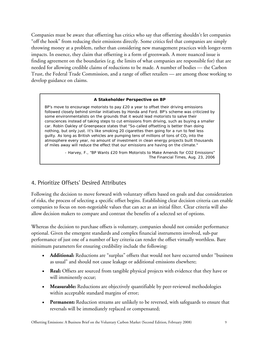Companies must be aware that offsetting has critics who say that offsetting shouldn't let companies "off the hook" from reducing their emissions directly. Some critics feel that companies are simply throwing money at a problem, rather than considering new management practices with longer-term impacts. In essence, they claim that offsetting is a form of greenwash. A more nuanced issue is finding agreement on the boundaries (e.g. the limits of what companies are responsible for) that are needed for allowing credible claims of reductions to be made. A number of bodies — the Carbon Trust, the Federal Trade Commission, and a range of offset retailers — are among those working to develop guidance on claims.

#### **A Stakeholder Perspective on BP**

BP's move to encourage motorists to pay £20 a year to offset their driving emissions followed closely behind similar initiatives by Honda and Ford. BP's scheme was criticized by some environmentalists on the grounds that it would lead motorists to salve their consciences instead of taking steps to cut emissions from driving, such as buying a smaller car. Robin Oakley of Greenpeace states that "So-called offsetting is better than doing nothing, but only just. It's like smoking 20 cigarettes then going for a run to feel less guilty. As long as British vehicles are pumping tens of millions of tons of  $CO<sub>2</sub>$  into the atmosphere every year, no amount of investment in clean energy projects built thousands of miles away will reduce the effect that our emissions are having on the climate."

> - Harvey, F., "BP Wants £20 from Motorists to Make Amends for CO2 Emissions" *The Financial Times*, Aug. 23, 2006

### 4. Prioritize Offsets' Desired Attributes

Following the decision to move forward with voluntary offsets based on goals and due consideration of risks, the process of selecting a specific offset begins. Establishing clear decision criteria can enable companies to focus on non-negotiable values that can act as an initial filter. Clear criteria will also allow decision makers to compare and contrast the benefits of a selected set of options.

Whereas the decision to purchase offsets is voluntary, companies should not consider performance optional. Given the emergent standards and complex financial instruments involved, sub-par performance of just one of a number of key criteria can render the offset virtually worthless. Bare minimum parameters for ensuring credibility include the following:

- **Additional:** Reductions are "surplus" offsets that would not have occurred under "business as usual" and should not cause leakage or additional emissions elsewhere;
- **Real:** Offsets are sourced from tangible physical projects with evidence that they have or will imminently occur;
- **Measurable:** Reductions are objectively quantifiable by peer-reviewed methodologies within acceptable standard margins of error;
- Permanent: Reduction streams are unlikely to be reversed, with safeguards to ensure that reversals will be immediately replaced or compensated;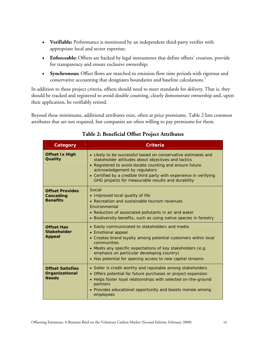- **Verifiable:** Performance is monitored by an independent third-party verifier with appropriate local and sector expertise;
- **Enforceable:** Offsets are backed by legal instruments that define offsets' creation, provide for transparency and ensure exclusive ownership;
- **Synchronous:** Offset flows are matched to emission flow time periods with rigorous and conservative accounting that designates boundaries and baseline calculations.<sup>9</sup>

In addition to these project criteria, offsets should need to meet standards for *delivery*. That is, they should be tracked and registered to avoid double counting, clearly demonstrate ownership and, upon their application, be verifiably retired.

Beyond these minimums, additional attributes exist, often at price premiums. Table 2 lists common attributes that are not required, but companies are often willing to pay premiums for them.

| Category                                                  | Criteria                                                                                                                                                                                                                                                                                                                                    |  |  |  |
|-----------------------------------------------------------|---------------------------------------------------------------------------------------------------------------------------------------------------------------------------------------------------------------------------------------------------------------------------------------------------------------------------------------------|--|--|--|
| <b>Offset Is High</b><br>Quality                          | • Likely to be successful based on conservative estimates and<br>stakeholder attitudes about objectives and tactics<br>• Registered to avoid double counting and ensure future<br>acknowledgement by regulators<br>• Certified by a credible third party with experience in verifying<br>GHG projects for measurable results and durability |  |  |  |
| <b>Offset Provides</b><br>Cascading<br><b>Benefits</b>    | Social<br>• Improved local quality of life<br>• Recreation and sustainable tourism revenues<br>Fnvironmental<br>• Reduction of associated pollutants in air and water<br>• Biodiversity benefits, such as using native species in forestry                                                                                                  |  |  |  |
| <b>Offset Has</b><br><b>Stakeholder</b><br><b>Appeal</b>  | • Easily communicated to stakeholders and media<br>• Emotional appeal<br>• Creates brand loyalty among potential customers within local<br>communities<br>• Meets any specific expectations of key stakeholders (e.g.<br>emphasis on particular developing country)<br>• Has potential for opening access to new capital streams            |  |  |  |
| <b>Offset Satisfies</b><br>Organizational<br><b>Needs</b> | • Seller is credit-worthy and reputable among stakeholders<br>• Offers potential for future purchases or project expansion<br>• Helps foster loyal relationships with selected on-the-ground<br>partners<br>• Provides educational opportunity and boosts morale among<br>employees                                                         |  |  |  |

### **Table 2: Beneficial Offset Project Attributes**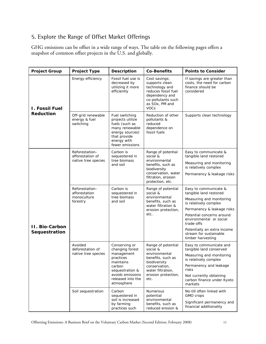### 5. Explore the Range of Offset Market Offerings

GHG emissions can be offset in a wide range of ways. The table on the following pages offers a snapshot of common offset projects in the U.S. and globally.

| <b>Project Group</b>            | <b>Project Type</b>                              | <b>Description</b>                                                                                                                          | <b>Co-Benefits</b>                                                                                                                                     | <b>Points to Consider</b>                                                                    |
|---------------------------------|--------------------------------------------------|---------------------------------------------------------------------------------------------------------------------------------------------|--------------------------------------------------------------------------------------------------------------------------------------------------------|----------------------------------------------------------------------------------------------|
| I. Fossil Fuel                  | Energy efficiency                                | Fossil fuel use is<br>decreased by<br>utilizing it more<br>efficiently                                                                      | Cost savings;<br>supports clean<br>technology and<br>reduces fossil fuel<br>dependency and<br>co-pollutants such<br>as SOx, PM and<br><b>VOCs</b>      | If savings are greater than<br>costs, the need for carbon<br>finance should be<br>considered |
| <b>Reduction</b>                | Off-grid renewable<br>energy & fuel<br>switching | Fuel switching<br>projects utilize<br>fuels (such as<br>many renewable<br>energy sources)<br>that provide<br>energy with<br>fewer emissions | Reduction of other<br>pollutants &<br>reduced<br>dependence on<br>fossil fuels                                                                         | Supports clean technology                                                                    |
|                                 | Reforestation-<br>afforestation of               | Carbon is<br>sequestered in<br>tree biomass<br>and soil                                                                                     | Range of potential<br>social &<br>environmental<br>benefits, such as<br>biodiversity<br>conservation, water<br>filtration, erosion<br>protection, etc. | Easy to communicate &<br>tangible land restored                                              |
|                                 | native tree species                              |                                                                                                                                             |                                                                                                                                                        | Measuring and monitoring<br>is relatively complex                                            |
|                                 |                                                  |                                                                                                                                             |                                                                                                                                                        | Permanency & leakage risks                                                                   |
|                                 | Reforestation-<br>afforestation                  | Carbon is<br>sequestered in<br>tree biomass<br>and soil                                                                                     | Range of potential<br>social &<br>environmental<br>benefits, such as<br>water filtration &<br>erosion protection,                                      | Easy to communicate &<br>tangible land restored                                              |
|                                 | monoculture<br>forestry                          |                                                                                                                                             |                                                                                                                                                        | Measuring and monitoring<br>is relatively complex                                            |
|                                 |                                                  |                                                                                                                                             |                                                                                                                                                        | Permanency & leakage risks                                                                   |
|                                 |                                                  |                                                                                                                                             | etc.                                                                                                                                                   | Potential concerns around<br>environmental or social<br>trade-offs                           |
| II. Bio-Carbon<br>Sequestration |                                                  |                                                                                                                                             |                                                                                                                                                        | Potentially an extra income<br>stream for sustainable<br>timber harvesting                   |
|                                 | Avoided                                          | Conserving or<br>changing forest<br>management<br>practices<br>maintains<br>carbon<br>sequestration &                                       | Range of potential<br>social &<br>environmental<br>benefits, such as<br>biodiversity<br>conservation,<br>water filtration,                             | Easy to communicate and                                                                      |
|                                 | deforestation of<br>native tree species          |                                                                                                                                             |                                                                                                                                                        | tangible land conserved<br>Measuring and monitoring<br>is relatively complex                 |
|                                 |                                                  |                                                                                                                                             |                                                                                                                                                        | Permanency and leakage<br>risks                                                              |
|                                 |                                                  | avoids emissions<br>released into the<br>atmosphere                                                                                         | erosion protection,<br>etc.                                                                                                                            | Not currently obtaining<br>carbon finance under Kyoto<br>markets                             |
|                                 | Soil sequestration                               | Carbon<br>sequestered in                                                                                                                    | <b>Numerous</b><br>potential                                                                                                                           | No-till often linked with<br>GMO crops                                                       |
|                                 |                                                  | soil is increased<br>by farming<br>practices such                                                                                           | environmental<br>benefits, such as<br>reduced erosion &                                                                                                | Significant permanency and<br>financial additionality                                        |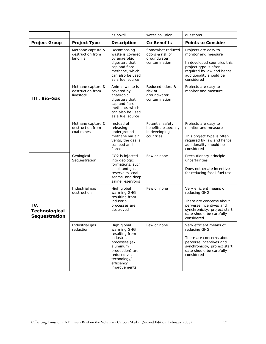|                                       |                                                     | as no-till                                                                                                                                                              | water pollution                                                        | questions                                                                                                                                                                 |
|---------------------------------------|-----------------------------------------------------|-------------------------------------------------------------------------------------------------------------------------------------------------------------------------|------------------------------------------------------------------------|---------------------------------------------------------------------------------------------------------------------------------------------------------------------------|
| <b>Project Group</b>                  | <b>Project Type</b>                                 | <b>Description</b>                                                                                                                                                      | <b>Co-Benefits</b>                                                     | <b>Points to Consider</b>                                                                                                                                                 |
|                                       | Methane capture &<br>destruction from<br>landfills  | Decomposing<br>waste is covered<br>by anaerobic<br>digesters that<br>cap and flare<br>methane, which<br>can also be used<br>as a fuel source                            | Somewhat reduced<br>odors & risk of<br>groundwater<br>contamination    | Projects are easy to<br>monitor and measure<br>In developed countries this<br>project type is often<br>required by law and hence<br>additionality should be<br>considered |
| <b>III. Bio-Gas</b>                   | Methane capture &<br>destruction from<br>livestock  | Animal waste is<br>covered by<br>anaerobic<br>digesters that<br>cap and flare<br>methane, which<br>can also be used<br>as a fuel source                                 | Reduced odors &<br>risk of<br>groundwater<br>contamination             | Projects are easy to<br>monitor and measure                                                                                                                               |
|                                       | Methane capture &<br>destruction from<br>coal mines | Instead of<br>releasing<br>underground<br>methane via air<br>vents, the gas is<br>trapped and<br>flared                                                                 | Potential safety<br>benefits, especially<br>in developing<br>countries | Projects are easy to<br>monitor and measure<br>This project type is often<br>required by law and hence<br>additionality should be<br>considered                           |
|                                       | Geological<br>Sequestration                         | CO2 is injected<br>into geologic<br>formations, such<br>as oil and gas<br>reservoirs, coal<br>seams, and deep<br>saline reservoirs                                      | Few or none                                                            | Precautionary principle<br>uncertainties<br>Does not create incentives<br>for reducing fossil fuel use                                                                    |
| IV.<br>Technological<br>Sequestration | Industrial gas<br>destruction                       | High global<br>warming GHG<br>resulting from<br>industrial<br>processes are<br>destroyed                                                                                | Few or none                                                            | Very efficient means of<br>reducing GHG<br>There are concerns about<br>perverse incentives and<br>synchronicity; project start<br>date should be carefully<br>considered  |
|                                       | Industrial gas<br>reduction                         | High global<br>warming GHG<br>resulting from<br>industrial<br>processes (ex.<br>aluminum<br>production) are<br>reduced via<br>technology/<br>efficiency<br>improvements | Few or none                                                            | Very efficient means of<br>reducing GHG<br>There are concerns about<br>perverse incentives and<br>synchronicity; project start<br>date should be carefully<br>considered  |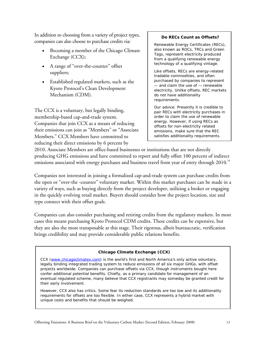In addition to choosing from a variety of project types, companies can also choose to purchase credits via:

- Becoming a member of the Chicago Climate Exchange (CCX);
- A range of "over-the-counter" offset suppliers;
- Established regulated markets, such as the Kyoto Protocol's Clean Development Mechanism (CDM).

The CCX is a voluntary, but legally binding, membership-based cap-and-trade system. Companies that join CCX as a means of reducing their emissions can join as "Members" or "Associate Members." CCX Members have committed to reducing their direct emissions by 6 percent by

#### **Do RECs Count as Offsets?**

Renewable Energy Certificates (RECs), also known as ROCs, TRCs and Green Tags, represent electricity produced from a qualifying renewable energy technology of a qualifying vintage.

Like offsets, RECs are energy-related tradable commodities, and often purchased by companies to represent — and claim the use of — renewable electricity. Unlike offsets, REC markets do not have additionality requirements.

Our advice: Presently it *is* credible to pair RECs with electricity purchases in order to claim the use of renewable energy. However, if using RECs as offsets for non-electricity related emissions, make sure that the REC satisfies additionality requirements.

2010. Associate Members are office-based businesses or institutions that are not directly producing GHG emissions and have committed to report and fully offset 100 percent of indirect emissions associated with energy purchases and business travel from year of entry through 2010. $^{\rm 10}$ 

Companies not interested in joining a formalized cap-and-trade system can purchase credits from the open or "over-the -counter" voluntary market. Within this market purchases can be made in a variety of ways, such as buying directly from the project developer, utilizing a broker or engaging in the quickly evolving retail market. Buyers should consider how the project location, size and type connect with their offset goals.

Companies can also consider purchasing and retiring credits from the regulatory markets. In most cases this means purchasing Kyoto Protocol CDM credits. These credits can be expensive, but they are also the most transposable at this stage. Their rigorous, albeit bureaucratic, verification brings credibility and may provide considerable public relations benefits.

#### **Chicago Climate Exchange (CCX)**

CCX (www.chicagoclimatex.com) is the world's first and North America's only active voluntary, legally binding integrated trading system to reduce emissions of all six major GHGs, with offset projects worldwide. Companies can purchase offsets via CCX, though instruments bought here confer additional potential benefits. Chiefly, as a primary candidate for management of an eventual regulated scheme, many believe that CCX registrants may someday be granted credit for their early involvement.

However, CCX also has critics. Some fear its reduction standards are too low and its additionality requirements for offsets are too flexible. In either case, CCX represents a hybrid market with unique costs and benefits that should be weighed.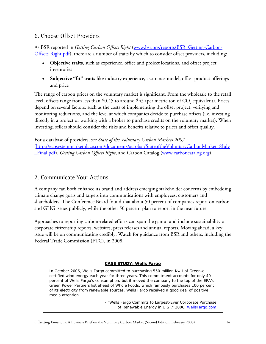### 6. Choose Offset Providers

As BSR reported in *Getting Carbon Offsets Right* (www.bsr.org/reports/BSR\_Getting-Carbon-Offsets-Right.pdf), there are a number of traits by which to consider offset providers, including:

- **Objective traits**, such as experience, office and project locations, and offset project inventories
- **Subjective "fit" traits** like industry experience, assurance model, offset product offerings and price

The range of carbon prices on the voluntary market is significant. From the wholesale to the retail level, offsets range from less than \$0.45 to around \$45 (per metric ton of CO<sub>2</sub> equivalent). Prices depend on several factors, such as the costs of implementing the offset project, verifying and monitoring reductions, and the level at which companies decide to purchase offsets (i.e. investing directly in a project or working with a broker to purchase credits on the voluntary market). When investing, sellers should consider the risks and benefits relative to prices and offset quality.

For a database of providers, see *State of the Voluntary Carbon Markets 2007*  (http://ecosystemmarketplace.com/documents/acrobat/StateoftheVoluntaryCarbonMarket18July \_Final.pdf), *Getting Carbon Offsets Right*, and Carbon Catalog (www.carboncatalog.org).

### 7. Communicate Your Actions

A company can both enhance its brand and address emerging stakeholder concerns by embedding climate change goals and targets into communications with employees, customers and shareholders. The Conference Board found that about 50 percent of companies report on carbon and GHG issues publicly, while the other 50 percent plan to report in the near future.

Approaches to reporting carbon-related efforts can span the gamut and include sustainability or corporate citizenship reports, websites, press releases and annual reports. Moving ahead, a key issue will be on communicating credibly. Watch for guidance from BSR and others, including the Federal Trade Commission (FTC), in 2008.

#### **CASE STUDY: Wells Fargo**

In October 2006, Wells Fargo committed to purchasing 550 million KwH of Green-e certified wind energy each year for three years. This commitment accounts for only 40 percent of Wells Fargo's consumption, but it moved the company to the top of the EPA's Green Power Partners list ahead of Whole Foods, which famously purchases 100 percent of its electricity from renewable sources. Wells Fargo received a good deal of positive media attention.

> - "Wells Fargo Commits to Largest-Ever Corporate Purchase of Renewable Energy in U.S.," 2006, WellsFargo.com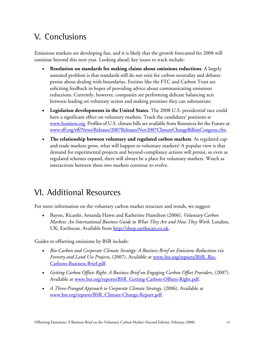# V. Conclusions

Emissions markets are developing fast, and it is likely that the growth forecasted for 2008 will continue beyond this next year. Looking ahead, key issues to track include:

- **Resolution on standards for making claims about emissions reductions**. A largely unstated problem is that standards still do not exist for carbon neutrality and debates persist about dealing with boundaries. Entities like the FTC and Carbon Trust are soliciting feedback in hopes of providing advice about communicating emissions reductions. Currently, however, companies are performing delicate balancing acts between leading on voluntary action and making promises they can substantiate.
- **Legislation developments in the United States**. The 2008 U.S. presidential race could have a significant effect on voluntary markets. Track the candidates' positions at www.heatison.org. Profiles of U.S. climate bills are available from Resources for the Future at: www.rff.org/rff/News/Releases/2007Releases/Nov2007ClimateChangeBillsinCongress.cfm.
- **The relationship between voluntary and regulated carbon markets**. As regulated capand-trade markets grow, what will happen to voluntary markets? A popular view is that demand for experimental projects and beyond-compliance actions will persist, so even as regulated schemes expand, there will always be a place for voluntary markets. Watch as interactions between these two markets continue to evolve.

# VI. Additional Resources

For more information on the voluntary carbon market structure and trends, we suggest:

• Bayon, Ricardo, Amanda Hawn and Katherine Hamilton (2006). *Voluntary Carbon Markets: An International Business Guide to What They Are and How They Work*. London, UK: Earthscan. Available from http://shop.earthscan.co.uk.

Guides to offsetting emissions by BSR include:

- *Bio-Carbon and Corporate Climate Strategy: A Business Brief on Emissions Reductions via Forestry and Land Use Projects*, (2007). Available at www.bsr.org/reports/BSR\_Bio-Carbons-Business-Brief.pdf.
- *Getting Carbon Offsets Right: A Business Brief on Engaging Carbon Offset Providers*, (2007). Available at www.bsr.org/reports/BSR\_Getting-Carbon-Offsets-Right.pdf.
- *A Three-Pronged Approach to Corporate Climate Strategy*, (2006). Available at www.bsr.org/reports/BSR\_Climate-Change-Report.pdf.